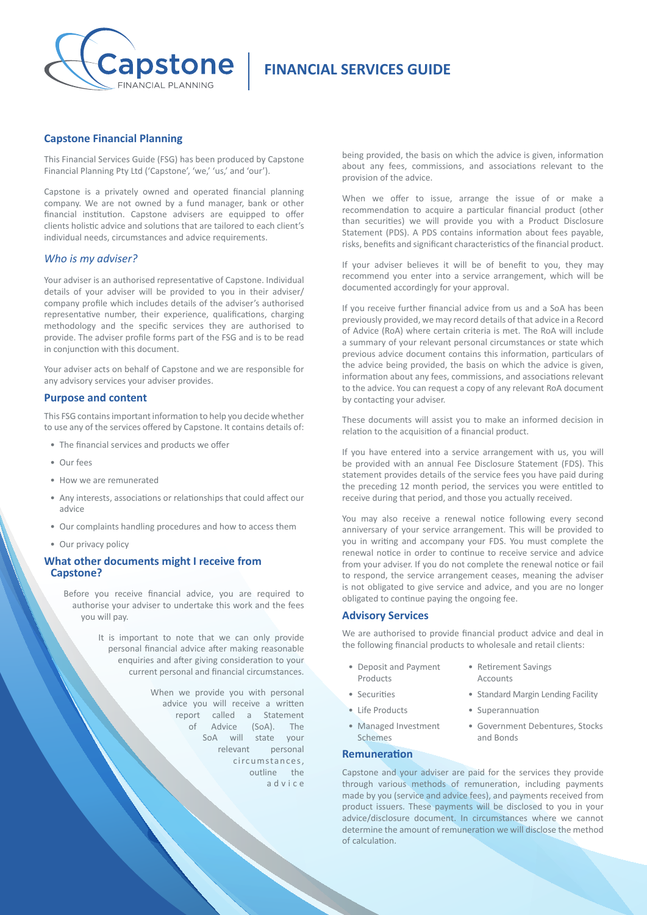

# **FINANCIAL SERVICES GUIDE**

## **Capstone Financial Planning**

This Financial Services Guide (FSG) has been produced by Capstone Financial Planning Pty Ltd ('Capstone', 'we,' 'us,' and 'our').

Capstone is a privately owned and operated financial planning company. We are not owned by a fund manager, bank or other financial institution. Capstone advisers are equipped to offer clients holistic advice and solutions that are tailored to each client's individual needs, circumstances and advice requirements.

## *Who is my adviser?*

Your adviser is an authorised representative of Capstone. Individual details of your adviser will be provided to you in their adviser/ company profile which includes details of the adviser's authorised representative number, their experience, qualifications, charging methodology and the specific services they are authorised to provide. The adviser profile forms part of the FSG and is to be read in conjunction with this document.

Your adviser acts on behalf of Capstone and we are responsible for any advisory services your adviser provides.

#### **Purpose and content**

This FSG contains important information to help you decide whether to use any of the services offered by Capstone. It contains details of:

- The financial services and products we offer
- Our fees
- How we are remunerated
- Any interests, associations or relationships that could affect our advice
- Our complaints handling procedures and how to access them
- Our privacy policy

## **What other documents might I receive from Capstone?**

Before you receive financial advice, you are required to authorise your adviser to undertake this work and the fees you will pay.

> It is important to note that we can only provide personal financial advice after making reasonable enquiries and after giving consideration to your current personal and financial circumstances.

> > When we provide you with personal advice you will receive a written report called a Statement of Advice (SoA). The SoA will state your relevant personal circumstances, outline the a d v i c e

being provided, the basis on which the advice is given, information about any fees, commissions, and associations relevant to the provision of the advice.

When we offer to issue, arrange the issue of or make a recommendation to acquire a particular financial product (other than securities) we will provide you with a Product Disclosure Statement (PDS). A PDS contains information about fees payable, risks, benefits and significant characteristics of the financial product.

If your adviser believes it will be of benefit to you, they may recommend you enter into a service arrangement, which will be documented accordingly for your approval.

If you receive further financial advice from us and a SoA has been previously provided, we may record details of that advice in a Record of Advice (RoA) where certain criteria is met. The RoA will include a summary of your relevant personal circumstances or state which previous advice document contains this information, particulars of the advice being provided, the basis on which the advice is given, information about any fees, commissions, and associations relevant to the advice. You can request a copy of any relevant RoA document by contacting your adviser.

These documents will assist you to make an informed decision in relation to the acquisition of a financial product.

If you have entered into a service arrangement with us, you will be provided with an annual Fee Disclosure Statement (FDS). This statement provides details of the service fees you have paid during the preceding 12 month period, the services you were entitled to receive during that period, and those you actually received.

You may also receive a renewal notice following every second anniversary of your service arrangement. This will be provided to you in writing and accompany your FDS. You must complete the renewal notice in order to continue to receive service and advice from your adviser. If you do not complete the renewal notice or fail to respond, the service arrangement ceases, meaning the adviser is not obligated to give service and advice, and you are no longer obligated to continue paying the ongoing fee.

#### **Advisory Services**

We are authorised to provide financial product advice and deal in the following financial products to wholesale and retail clients

- Deposit and Payment Products
- 
- 
- Managed Investment Schemes

## **Remuneration**

Capstone and your adviser are paid for the services they provide through various methods of remuneration, including payments made by you (service and advice fees), and payments received from product issuers. These payments will be disclosed to you in your advice/disclosure document. In circumstances where we cannot determine the amount of remuneration we will disclose the of calculation.

- Retirement Savings Accounts
- Securities Standard Margin Lending Facility
- Life Products Superannuation
	- Government Debentures, Stocks and Bonds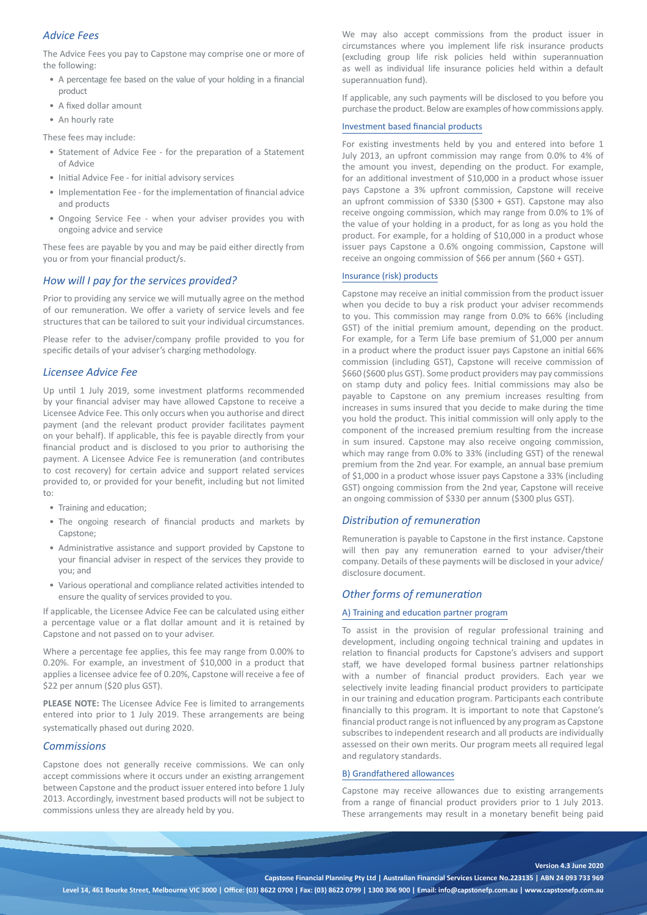# *Advice Fees*

The Advice Fees you pay to Capstone may comprise one or more of the following:

- A percentage fee based on the value of your holding in a financial product
- A fixed dollar amount
- An hourly rate

These fees may include:

- Statement of Advice Fee for the preparation of a Statement of Advice
- Initial Advice Fee for initial advisory services
- Implementation Fee for the implementation of financial advice and products
- Ongoing Service Fee when your adviser provides you with ongoing advice and service

These fees are payable by you and may be paid either directly from you or from your financial product/s.

## *How will I pay for the services provided?*

Prior to providing any service we will mutually agree on the method of our remuneration. We offer a variety of service levels and fee structures that can be tailored to suit your individual circumstances.

Please refer to the adviser/company profile provided to you for specific details of your adviser's charging methodology.

## *Licensee Advice Fee*

Up until 1 July 2019, some investment platforms recommended by your financial adviser may have allowed Capstone to receive a Licensee Advice Fee. This only occurs when you authorise and direct payment (and the relevant product provider facilitates payment on your behalf). If applicable, this fee is payable directly from your financial product and is disclosed to you prior to authorising the payment. A Licensee Advice Fee is remuneration (and contributes to cost recovery) for certain advice and support related services provided to, or provided for your benefit, including but not limited to:

- Training and education;
- The ongoing research of financial products and markets by Capstone;
- Administrative assistance and support provided by Capstone to your financial adviser in respect of the services they provide to you; and
- Various operational and compliance related activities intended to ensure the quality of services provided to you.

If applicable, the Licensee Advice Fee can be calculated using either a percentage value or a flat dollar amount and it is retained by Capstone and not passed on to your adviser.

Where a percentage fee applies, this fee may range from 0.00% to 0.20%. For example, an investment of \$10,000 in a product that applies a licensee advice fee of 0.20%, Capstone will receive a fee of \$22 per annum (\$20 plus GST).

**PLEASE NOTE:** The Licensee Advice Fee is limited to arrangements entered into prior to 1 July 2019. These arrangements are being systematically phased out during 2020.

#### *Commissions*

Capstone does not generally receive commissions. We can only accept commissions where it occurs under an existing arrangement between Capstone and the product issuer entered into before 1 July 2013. Accordingly, investment based products will not be subject to commissions unless they are already held by you.

We may also accept commissions from the product issuer in circumstances where you implement life risk insurance products (excluding group life risk policies held within superannuation as well as individual life insurance policies held within a default superannuation fund).

If applicable, any such payments will be disclosed to you before you purchase the product. Below are examples of how commissions apply.

#### Investment based financial products

For existing investments held by you and entered into before 1 July 2013, an upfront commission may range from 0.0% to 4% of the amount you invest, depending on the product. For example, for an additional investment of \$10,000 in a product whose issuer pays Capstone a 3% upfront commission, Capstone will receive an upfront commission of \$330 (\$300 + GST). Capstone may also receive ongoing commission, which may range from 0.0% to 1% of the value of your holding in a product, for as long as you hold the product. For example, for a holding of \$10,000 in a product whose issuer pays Capstone a 0.6% ongoing commission, Capstone will receive an ongoing commission of \$66 per annum (\$60 + GST).

#### Insurance (risk) products

Capstone may receive an initial commission from the product issuer when you decide to buy a risk product your adviser recommends to you. This commission may range from 0.0% to 66% (including GST) of the initial premium amount, depending on the product. For example, for a Term Life base premium of \$1,000 per annum in a product where the product issuer pays Capstone an initial 66% commission (including GST), Capstone will receive commission of \$660 (\$600 plus GST). Some product providers may pay commissions on stamp duty and policy fees. Initial commissions may also be payable to Capstone on any premium increases resulting from increases in sums insured that you decide to make during the time you hold the product. This initial commission will only apply to the component of the increased premium resulting from the increase in sum insured. Capstone may also receive ongoing commission, which may range from 0.0% to 33% (including GST) of the renewal premium from the 2nd year. For example, an annual base premium of \$1,000 in a product whose issuer pays Capstone a 33% (including GST) ongoing commission from the 2nd year, Capstone will receive an ongoing commission of \$330 per annum (\$300 plus GST).

## *Distribution of remuneration*

Remuneration is payable to Capstone in the first instance. Capstone will then pay any remuneration earned to your adviser/their company. Details of these payments will be disclosed in your advice/ disclosure document.

## *Other forms of remuneration*

## A) Training and education partner program

To assist in the provision of regular professional training and development, including ongoing technical training and updates in relation to financial products for Capstone's advisers and support staff, we have developed formal business partner relationships with a number of financial product providers. Each year we selectively invite leading financial product providers to participate in our training and education program. Participants each contribute financially to this program. It is important to note that Capstone's financial product range is not influenced by any program as Capstone subscribes to independent research and all products are individually assessed on their own merits. Our program meets all required legal and regulatory standards.

#### B) Grandfathered allowances

Capstone may receive allowances due to existing arrangements from a range of financial product providers prior to 1 July 2013. These arrangements may result in a monetary benefit being paid

#### **Version 4.3 June 2020**

**Capstone Financial Planning Pty Ltd | Australian Financial Services Licence No.223135 | ABN 24 093 733 969**

**Level 14, 461 Bourke Street, Melbourne VIC 3000 | Office: (03) 8622 0700 | Fax: (03) 8622 0799 | 1300 306 900 | Email: info@capstonefp.com.au | www.capstonefp.com.au**